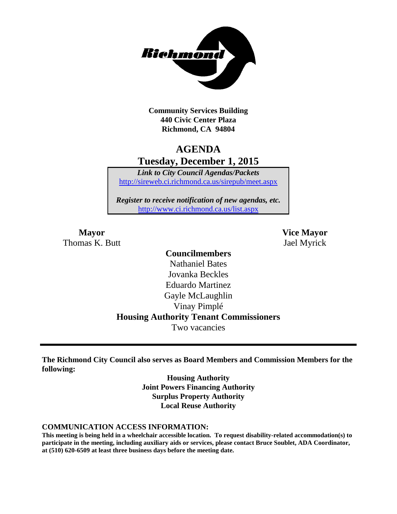

**Community Services Building 440 Civic Center Plaza Richmond, CA 94804**

## **AGENDA Tuesday, December 1, 2015**

*Link to City Council Agendas/Packets* <http://sireweb.ci.richmond.ca.us/sirepub/meet.aspx>

*Register to receive notification of new agendas, etc.* <http://www.ci.richmond.ca.us/list.aspx>

Thomas K. Butt Jael Myrick

**Mayor Vice Mayor**

#### **Councilmembers**

Nathaniel Bates Jovanka Beckles Eduardo Martinez Gayle McLaughlin Vinay Pimplé **Housing Authority Tenant Commissioners** Two vacancies

**The Richmond City Council also serves as Board Members and Commission Members for the following:**

> **Housing Authority Joint Powers Financing Authority Surplus Property Authority Local Reuse Authority**

#### **COMMUNICATION ACCESS INFORMATION:**

**This meeting is being held in a wheelchair accessible location. To request disability-related accommodation(s) to participate in the meeting, including auxiliary aids or services, please contact Bruce Soublet, ADA Coordinator, at (510) 620-6509 at least three business days before the meeting date.**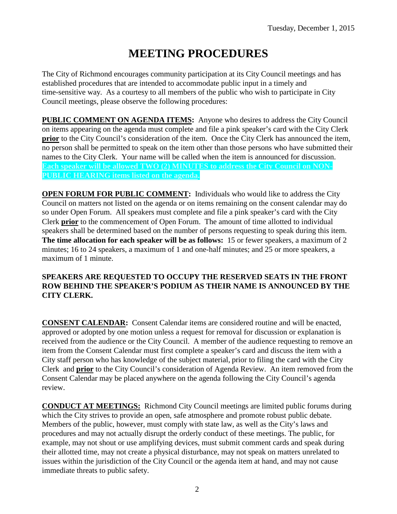# **MEETING PROCEDURES**

The City of Richmond encourages community participation at its City Council meetings and has established procedures that are intended to accommodate public input in a timely and time-sensitive way. As a courtesy to all members of the public who wish to participate in City Council meetings, please observe the following procedures:

**PUBLIC COMMENT ON AGENDA ITEMS:** Anyone who desires to address the City Council on items appearing on the agenda must complete and file a pink speaker's card with the City Clerk **prior** to the City Council's consideration of the item. Once the City Clerk has announced the item, no person shall be permitted to speak on the item other than those persons who have submitted their names to the City Clerk. Your name will be called when the item is announced for discussion. **Each speaker will be allowed TWO (2) MINUTES to address the City Council on NON-PUBLIC HEARING items listed on the agenda.**

**OPEN FORUM FOR PUBLIC COMMENT:** Individuals who would like to address the City Council on matters not listed on the agenda or on items remaining on the consent calendar may do so under Open Forum. All speakers must complete and file a pink speaker's card with the City Clerk **prior** to the commencement of Open Forum. The amount of time allotted to individual speakers shall be determined based on the number of persons requesting to speak during this item. **The time allocation for each speaker will be as follows:** 15 or fewer speakers, a maximum of 2 minutes; 16 to 24 speakers, a maximum of 1 and one-half minutes; and 25 or more speakers, a maximum of 1 minute.

#### **SPEAKERS ARE REQUESTED TO OCCUPY THE RESERVED SEATS IN THE FRONT ROW BEHIND THE SPEAKER'S PODIUM AS THEIR NAME IS ANNOUNCED BY THE CITY CLERK.**

**CONSENT CALENDAR:** Consent Calendar items are considered routine and will be enacted, approved or adopted by one motion unless a request for removal for discussion or explanation is received from the audience or the City Council. A member of the audience requesting to remove an item from the Consent Calendar must first complete a speaker's card and discuss the item with a City staff person who has knowledge of the subject material, prior to filing the card with the City Clerk and **prior** to the City Council's consideration of Agenda Review. An item removed from the Consent Calendar may be placed anywhere on the agenda following the City Council's agenda review.

**CONDUCT AT MEETINGS:** Richmond City Council meetings are limited public forums during which the City strives to provide an open, safe atmosphere and promote robust public debate. Members of the public, however, must comply with state law, as well as the City's laws and procedures and may not actually disrupt the orderly conduct of these meetings. The public, for example, may not shout or use amplifying devices, must submit comment cards and speak during their allotted time, may not create a physical disturbance, may not speak on matters unrelated to issues within the jurisdiction of the City Council or the agenda item at hand, and may not cause immediate threats to public safety.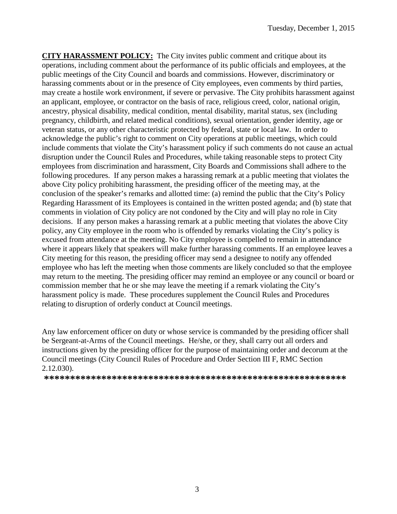**CITY HARASSMENT POLICY:** The City invites public comment and critique about its operations, including comment about the performance of its public officials and employees, at the public meetings of the City Council and boards and commissions. However, discriminatory or harassing comments about or in the presence of City employees, even comments by third parties, may create a hostile work environment, if severe or pervasive. The City prohibits harassment against an applicant, employee, or contractor on the basis of race, religious creed, color, national origin, ancestry, physical disability, medical condition, mental disability, marital status, sex (including pregnancy, childbirth, and related medical conditions), sexual orientation, gender identity, age or veteran status, or any other characteristic protected by federal, state or local law. In order to acknowledge the public's right to comment on City operations at public meetings, which could include comments that violate the City's harassment policy if such comments do not cause an actual disruption under the Council Rules and Procedures, while taking reasonable steps to protect City employees from discrimination and harassment, City Boards and Commissions shall adhere to the following procedures. If any person makes a harassing remark at a public meeting that violates the above City policy prohibiting harassment, the presiding officer of the meeting may, at the conclusion of the speaker's remarks and allotted time: (a) remind the public that the City's Policy Regarding Harassment of its Employees is contained in the written posted agenda; and (b) state that comments in violation of City policy are not condoned by the City and will play no role in City decisions. If any person makes a harassing remark at a public meeting that violates the above City policy, any City employee in the room who is offended by remarks violating the City's policy is excused from attendance at the meeting. No City employee is compelled to remain in attendance where it appears likely that speakers will make further harassing comments. If an employee leaves a City meeting for this reason, the presiding officer may send a designee to notify any offended employee who has left the meeting when those comments are likely concluded so that the employee may return to the meeting. The presiding officer may remind an employee or any council or board or commission member that he or she may leave the meeting if a remark violating the City's harassment policy is made. These procedures supplement the Council Rules and Procedures relating to disruption of orderly conduct at Council meetings.

Any law enforcement officer on duty or whose service is commanded by the presiding officer shall be Sergeant-at-Arms of the Council meetings. He/she, or they, shall carry out all orders and instructions given by the presiding officer for the purpose of maintaining order and decorum at the Council meetings (City Council Rules of Procedure and Order Section III F, RMC Section 2.12.030).

**\*\*\*\*\*\*\*\*\*\*\*\*\*\*\*\*\*\*\*\*\*\*\*\*\*\*\*\*\*\*\*\*\*\*\*\*\*\*\*\*\*\*\*\*\*\*\*\*\*\*\*\*\*\*\*\*\*\***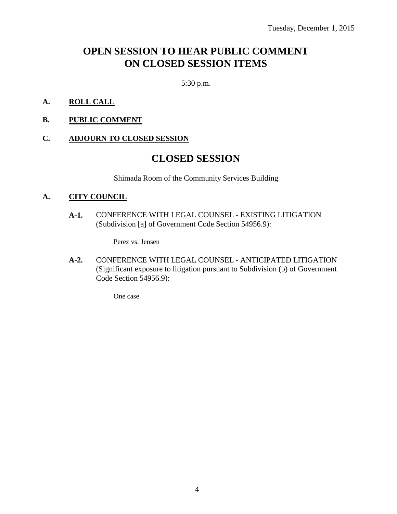## **OPEN SESSION TO HEAR PUBLIC COMMENT ON CLOSED SESSION ITEMS**

5:30 p.m.

- **A. ROLL CALL**
- **B. PUBLIC COMMENT**

#### **C. ADJOURN TO CLOSED SESSION**

### **CLOSED SESSION**

Shimada Room of the Community Services Building

#### **A. CITY COUNCIL**

**A-1.** CONFERENCE WITH LEGAL COUNSEL - EXISTING LITIGATION (Subdivision [a] of Government Code Section 54956.9):

Perez vs. Jensen

**A-2.** CONFERENCE WITH LEGAL COUNSEL - ANTICIPATED LITIGATION (Significant exposure to litigation pursuant to Subdivision (b) of Government Code Section 54956.9):

One case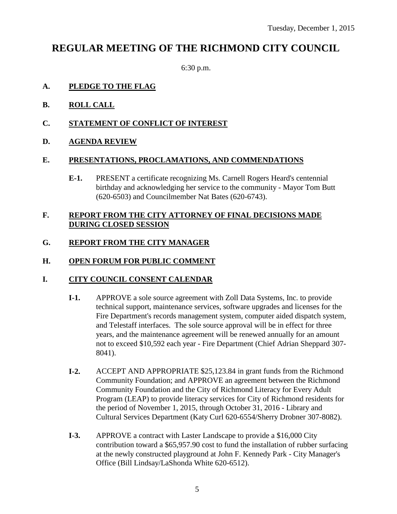## **REGULAR MEETING OF THE RICHMOND CITY COUNCIL**

6:30 p.m.

#### **A. PLEDGE TO THE FLAG**

- **B. ROLL CALL**
- **C. STATEMENT OF CONFLICT OF INTEREST**
- **D. AGENDA REVIEW**

#### **E. PRESENTATIONS, PROCLAMATIONS, AND COMMENDATIONS**

**E-1.** PRESENT a certificate recognizing Ms. Carnell Rogers Heard's centennial birthday and acknowledging her service to the community - Mayor Tom Butt (620-6503) and Councilmember Nat Bates (620-6743).

#### **F. REPORT FROM THE CITY ATTORNEY OF FINAL DECISIONS MADE DURING CLOSED SESSION**

#### **G. REPORT FROM THE CITY MANAGER**

#### **H. OPEN FORUM FOR PUBLIC COMMENT**

#### **I. CITY COUNCIL CONSENT CALENDAR**

- **I-1.** APPROVE a sole source agreement with Zoll Data Systems, Inc. to provide technical support, maintenance services, software upgrades and licenses for the Fire Department's records management system, computer aided dispatch system, and Telestaff interfaces. The sole source approval will be in effect for three years, and the maintenance agreement will be renewed annually for an amount not to exceed \$10,592 each year - Fire Department (Chief Adrian Sheppard 307- 8041).
- **I-2.** ACCEPT AND APPROPRIATE \$25,123.84 in grant funds from the Richmond Community Foundation; and APPROVE an agreement between the Richmond Community Foundation and the City of Richmond Literacy for Every Adult Program (LEAP) to provide literacy services for City of Richmond residents for the period of November 1, 2015, through October 31, 2016 - Library and Cultural Services Department (Katy Curl 620-6554/Sherry Drobner 307-8082).
- **I-3.** APPROVE a contract with Laster Landscape to provide a \$16,000 City contribution toward a \$65,957.90 cost to fund the installation of rubber surfacing at the newly constructed playground at John F. Kennedy Park - City Manager's Office (Bill Lindsay/LaShonda White 620-6512).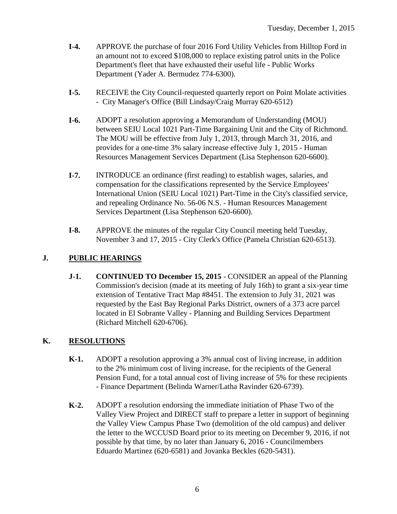- **I-4.** APPROVE the purchase of four 2016 Ford Utility Vehicles from Hilltop Ford in an amount not to exceed \$108,000 to replace existing patrol units in the Police Department's fleet that have exhausted their useful life - Public Works Department (Yader A. Bermudez 774-6300).
- **I-5.** RECEIVE the City Council-requested quarterly report on Point Molate activities - City Manager's Office (Bill Lindsay/Craig Murray 620-6512)
- **I-6.** ADOPT a resolution approving a Memorandum of Understanding (MOU) between SEIU Local 1021 Part-Time Bargaining Unit and the City of Richmond. The MOU will be effective from July 1, 2013, through March 31, 2016, and provides for a one-time 3% salary increase effective July 1, 2015 - Human Resources Management Services Department (Lisa Stephenson 620-6600).
- **I-7.** INTRODUCE an ordinance (first reading) to establish wages, salaries, and compensation for the classifications represented by the Service Employees' International Union (SEIU Local 1021) Part-Time in the City's classified service, and repealing Ordinance No. 56-06 N.S. - Human Resources Management Services Department (Lisa Stephenson 620-6600).
- **I-8.** APPROVE the minutes of the regular City Council meeting held Tuesday, November 3 and 17, 2015 - City Clerk's Office (Pamela Christian 620-6513).

### **J. PUBLIC HEARINGS**

**J-1. CONTINUED TO December 15, 2015** - CONSIDER an appeal of the Planning Commission's decision (made at its meeting of July 16th) to grant a six-year time extension of Tentative Tract Map #8451. The extension to July 31, 2021 was requested by the East Bay Regional Parks District, owners of a 373 acre parcel located in El Sobrante Valley - Planning and Building Services Department (Richard Mitchell 620-6706).

### **K. RESOLUTIONS**

- **K-1.** ADOPT a resolution approving a 3% annual cost of living increase, in addition to the 2% minimum cost of living increase, for the recipients of the General Pension Fund, for a total annual cost of living increase of 5% for these recipients - Finance Department (Belinda Warner/Latha Ravinder 620-6739).
- **K-2.** ADOPT a resolution endorsing the immediate initiation of Phase Two of the Valley View Project and DIRECT staff to prepare a letter in support of beginning the Valley View Campus Phase Two (demolition of the old campus) and deliver the letter to the WCCUSD Board prior to its meeting on December 9, 2016, if not possible by that time, by no later than January 6, 2016 - Councilmembers Eduardo Martinez (620-6581) and Jovanka Beckles (620-5431).